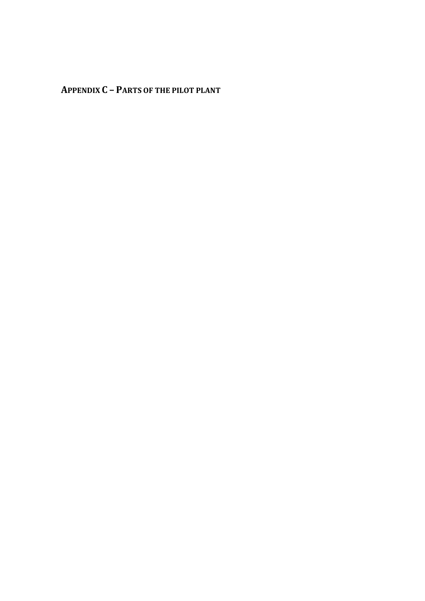**APPENDIX C – PARTS OF THE PILOT PLANT**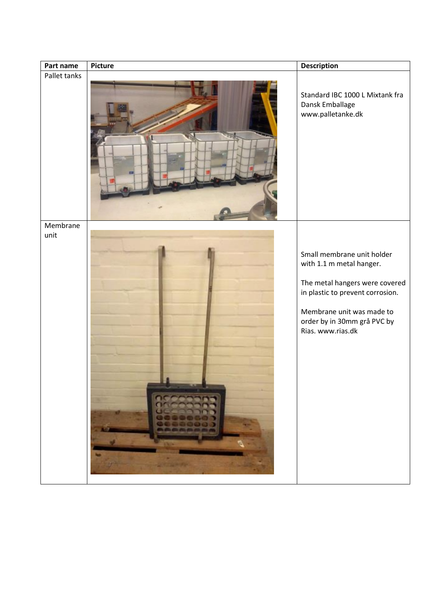| Part name    | <b>Picture</b>                                                                     | <b>Description</b>                                                                                                                                                                                            |
|--------------|------------------------------------------------------------------------------------|---------------------------------------------------------------------------------------------------------------------------------------------------------------------------------------------------------------|
| Pallet tanks |                                                                                    | Standard IBC 1000 L Mixtank fra<br>Dansk Emballage<br>www.palletanke.dk                                                                                                                                       |
| Membrane     |                                                                                    |                                                                                                                                                                                                               |
| unit         | nccooon<br>00000000<br>w.<br><b>STATE</b><br>$\mathbf{W}$<br>-<br><b>ANTIQUERS</b> | Small membrane unit holder<br>with 1.1 m metal hanger.<br>The metal hangers were covered<br>in plastic to prevent corrosion.<br>Membrane unit was made to<br>order by in 30mm grå PVC by<br>Rias. www.rias.dk |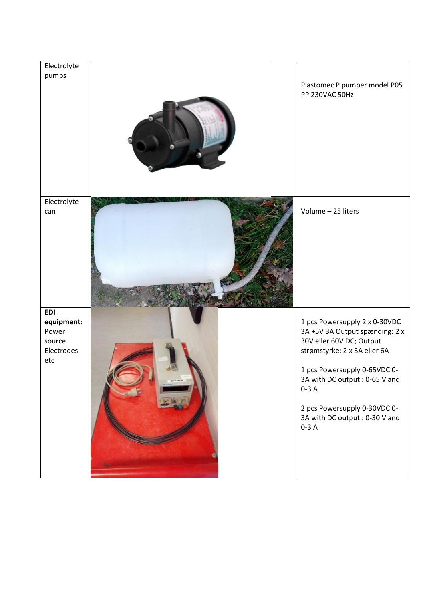| Electrolyte                                                      |                                                                                                                                                                                                        |
|------------------------------------------------------------------|--------------------------------------------------------------------------------------------------------------------------------------------------------------------------------------------------------|
| pumps                                                            | Plastomec P pumper model P05<br>PP 230VAC 50Hz                                                                                                                                                         |
|                                                                  |                                                                                                                                                                                                        |
| Electrolyte<br>can                                               | Volume - 25 liters                                                                                                                                                                                     |
| <b>EDI</b><br>equipment:<br>Power<br>source<br>Electrodes<br>etc | 1 pcs Powersupply 2 x 0-30VDC<br>3A+5V 3A Output spænding: 2 x<br>30V eller 60V DC; Output<br>strømstyrke: 2 x 3A eller 6A<br>1 pcs Powersupply 0-65VDC 0-<br>3A with DC output : 0-65 V and<br>$0-3A$ |
|                                                                  | 2 pcs Powersupply 0-30VDC 0-<br>3A with DC output : 0-30 V and<br>$0-3A$                                                                                                                               |